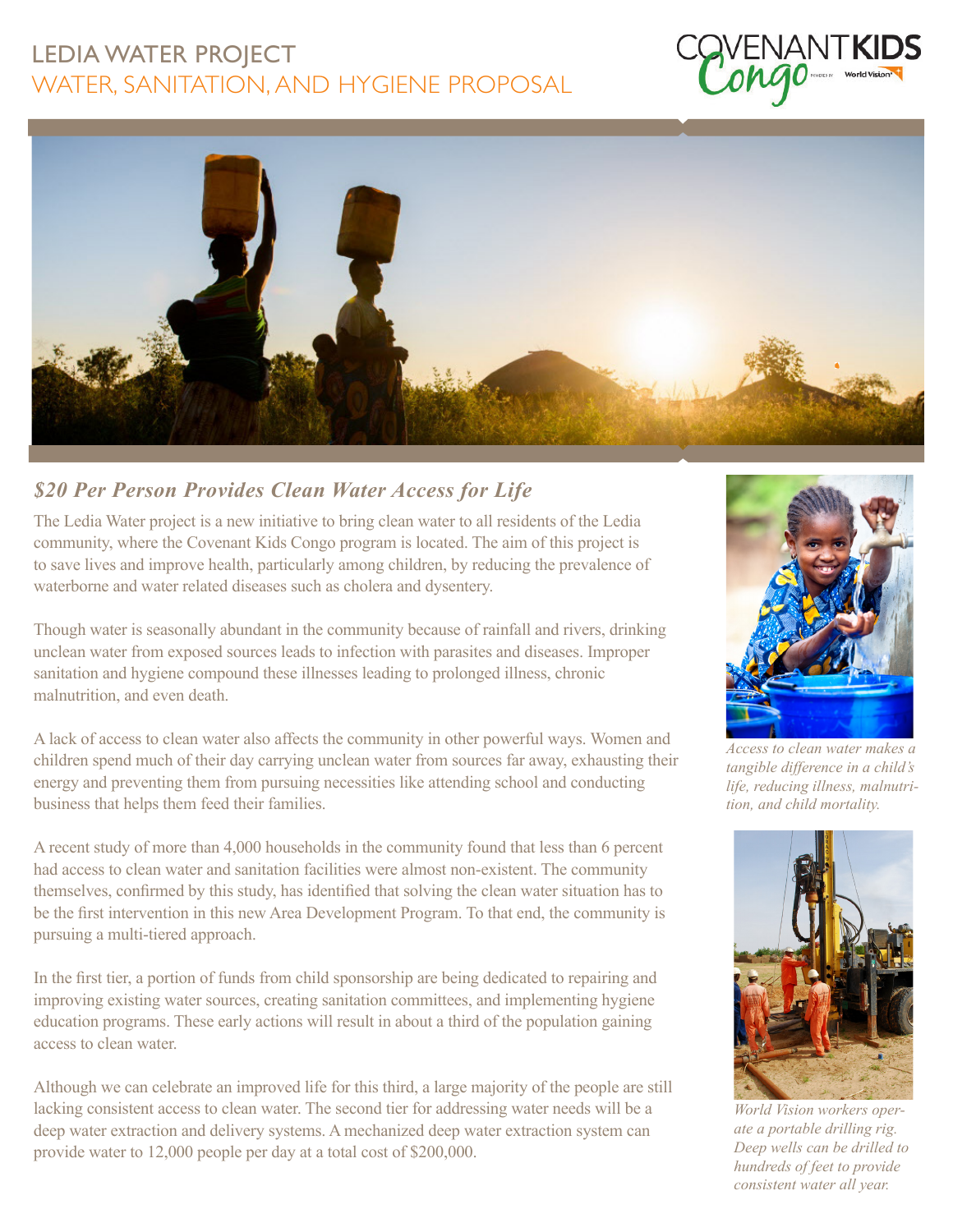## LEDIA WATER PROJECT WATER, SANITATION, AND HYGIENE PROPOSAL





## *\$20 Per Person Provides Clean Water Access for Life*

The Ledia Water project is a new initiative to bring clean water to all residents of the Ledia community, where the Covenant Kids Congo program is located. The aim of this project is to save lives and improve health, particularly among children, by reducing the prevalence of waterborne and water related diseases such as cholera and dysentery.

Though water is seasonally abundant in the community because of rainfall and rivers, drinking unclean water from exposed sources leads to infection with parasites and diseases. Improper sanitation and hygiene compound these illnesses leading to prolonged illness, chronic malnutrition, and even death.

A lack of access to clean water also affects the community in other powerful ways. Women and children spend much of their day carrying unclean water from sources far away, exhausting their energy and preventing them from pursuing necessities like attending school and conducting business that helps them feed their families.

A recent study of more than 4,000 households in the community found that less than 6 percent had access to clean water and sanitation facilities were almost non-existent. The community themselves, confirmed by this study, has identified that solving the clean water situation has to be the first intervention in this new Area Development Program. To that end, the community is pursuing a multi-tiered approach.

In the first tier, a portion of funds from child sponsorship are being dedicated to repairing and improving existing water sources, creating sanitation committees, and implementing hygiene education programs. These early actions will result in about a third of the population gaining access to clean water.

Although we can celebrate an improved life for this third, a large majority of the people are still lacking consistent access to clean water. The second tier for addressing water needs will be a deep water extraction and delivery systems. A mechanized deep water extraction system can provide water to 12,000 people per day at a total cost of \$200,000.



*Access to clean water makes a tangible difference in a child's life, reducing illness, malnutrition, and child mortality.*



*World Vision workers operate a portable drilling rig. Deep wells can be drilled to hundreds of feet to provide consistent water all year.*